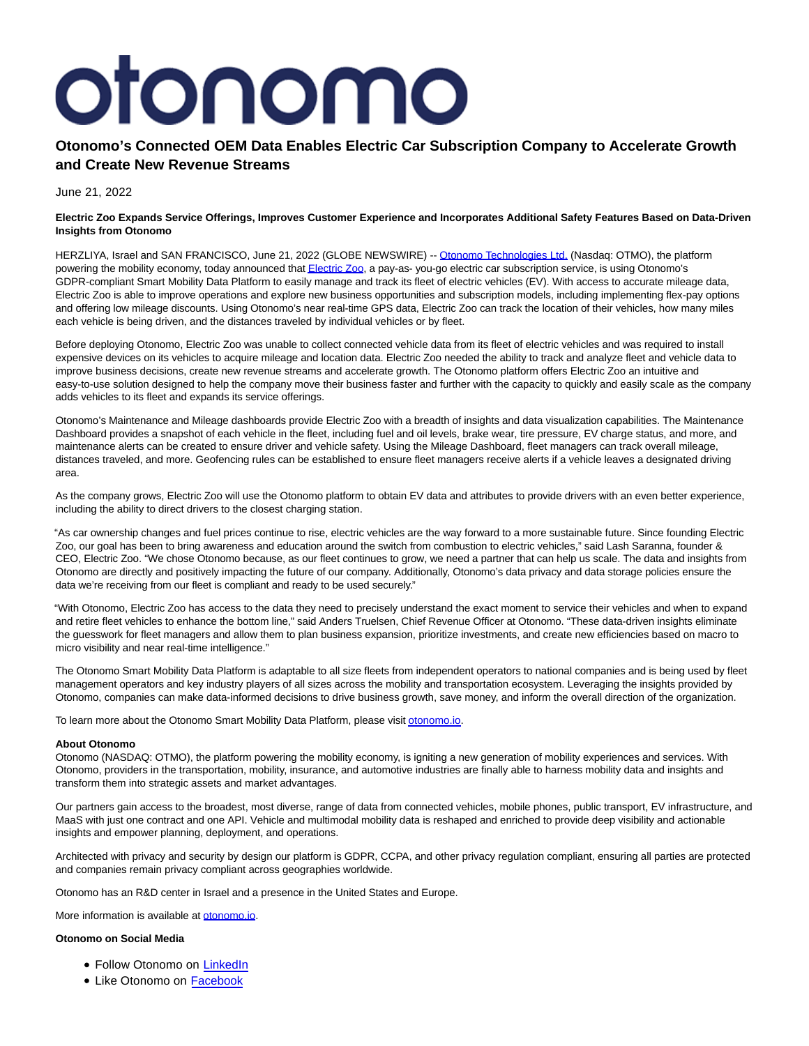# otonomo

# **Otonomo's Connected OEM Data Enables Electric Car Subscription Company to Accelerate Growth and Create New Revenue Streams**

June 21, 2022

## **Electric Zoo Expands Service Offerings, Improves Customer Experience and Incorporates Additional Safety Features Based on Data-Driven Insights from Otonomo**

HERZLIYA, Israel and SAN FRANCISCO, June 21, 2022 (GLOBE NEWSWIRE) -- [Otonomo Technologies Ltd. \(](https://www.globenewswire.com/Tracker?data=neLjn7G7r0vAb0JLTmsovF1glqauontJhcoV5wX3PvP_AG69Twu1BLAVVQK-r1oOA-9_RywAlw5dUYCYUPPLpp8z1PtsTQk5l0qREN2jxcw=)Nasdaq: OTMO), the platform powering the mobility economy, today announced tha[t Electric Zoo,](https://www.globenewswire.com/Tracker?data=oko4MvLqj78lAbMEhCjwyeXpuF9u3bQLF6kVyYlHCgyndzBVCzK0Bk9KpXtsLEJj4RicGmTiz1No9W4VBR3ayw==) a pay-as-you-go electric car subscription service, is using Otonomo's GDPR-compliant Smart Mobility Data Platform to easily manage and track its fleet of electric vehicles (EV). With access to accurate mileage data, Electric Zoo is able to improve operations and explore new business opportunities and subscription models, including implementing flex-pay options and offering low mileage discounts. Using Otonomo's near real-time GPS data, Electric Zoo can track the location of their vehicles, how many miles each vehicle is being driven, and the distances traveled by individual vehicles or by fleet.

Before deploying Otonomo, Electric Zoo was unable to collect connected vehicle data from its fleet of electric vehicles and was required to install expensive devices on its vehicles to acquire mileage and location data. Electric Zoo needed the ability to track and analyze fleet and vehicle data to improve business decisions, create new revenue streams and accelerate growth. The Otonomo platform offers Electric Zoo an intuitive and easy-to-use solution designed to help the company move their business faster and further with the capacity to quickly and easily scale as the company adds vehicles to its fleet and expands its service offerings.

Otonomo's Maintenance and Mileage dashboards provide Electric Zoo with a breadth of insights and data visualization capabilities. The Maintenance Dashboard provides a snapshot of each vehicle in the fleet, including fuel and oil levels, brake wear, tire pressure, EV charge status, and more, and maintenance alerts can be created to ensure driver and vehicle safety. Using the Mileage Dashboard, fleet managers can track overall mileage, distances traveled, and more. Geofencing rules can be established to ensure fleet managers receive alerts if a vehicle leaves a designated driving area.

As the company grows, Electric Zoo will use the Otonomo platform to obtain EV data and attributes to provide drivers with an even better experience, including the ability to direct drivers to the closest charging station.

"As car ownership changes and fuel prices continue to rise, electric vehicles are the way forward to a more sustainable future. Since founding Electric Zoo, our goal has been to bring awareness and education around the switch from combustion to electric vehicles," said Lash Saranna, founder & CEO, Electric Zoo. "We chose Otonomo because, as our fleet continues to grow, we need a partner that can help us scale. The data and insights from Otonomo are directly and positively impacting the future of our company. Additionally, Otonomo's data privacy and data storage policies ensure the data we're receiving from our fleet is compliant and ready to be used securely."

"With Otonomo, Electric Zoo has access to the data they need to precisely understand the exact moment to service their vehicles and when to expand and retire fleet vehicles to enhance the bottom line," said Anders Truelsen, Chief Revenue Officer at Otonomo. "These data-driven insights eliminate the guesswork for fleet managers and allow them to plan business expansion, prioritize investments, and create new efficiencies based on macro to micro visibility and near real-time intelligence."

The Otonomo Smart Mobility Data Platform is adaptable to all size fleets from independent operators to national companies and is being used by fleet management operators and key industry players of all sizes across the mobility and transportation ecosystem. Leveraging the insights provided by Otonomo, companies can make data-informed decisions to drive business growth, save money, and inform the overall direction of the organization.

To learn more about the Otonomo Smart Mobility Data Platform, please visi[t otonomo.io.](https://www.globenewswire.com/Tracker?data=k1ziWcGgBd6FOuS0k-weDfJWQDo5kls0b2fR2ULW2vwHIXPkJBcwYqDfjB1-DsAIYeDL9tOlFT-WAJAbUKYpyw==)

## **About Otonomo**

Otonomo (NASDAQ: OTMO), the platform powering the mobility economy, is igniting a new generation of mobility experiences and services. With Otonomo, providers in the transportation, mobility, insurance, and automotive industries are finally able to harness mobility data and insights and transform them into strategic assets and market advantages.

Our partners gain access to the broadest, most diverse, range of data from connected vehicles, mobile phones, public transport, EV infrastructure, and MaaS with just one contract and one API. Vehicle and multimodal mobility data is reshaped and enriched to provide deep visibility and actionable insights and empower planning, deployment, and operations.

Architected with privacy and security by design our platform is GDPR, CCPA, and other privacy regulation compliant, ensuring all parties are protected and companies remain privacy compliant across geographies worldwide.

Otonomo has an R&D center in Israel and a presence in the United States and Europe.

More information is available at [otonomo.io.](https://www.globenewswire.com/Tracker?data=k1ziWcGgBd6FOuS0k-weDTIDSRFkj5wr6MC7PtxCO1cVQUrbnyT94HEDDhCzmOsjvD7lOMj5ZDrJ5qWTJ3JMWw==)

## **Otonomo on Social Media**

- Follow Otonomo on [LinkedIn](https://www.linkedin.com/company/otonomo)
- Like Otonomo on [Facebook](https://www.facebook.com/otonomo.io)